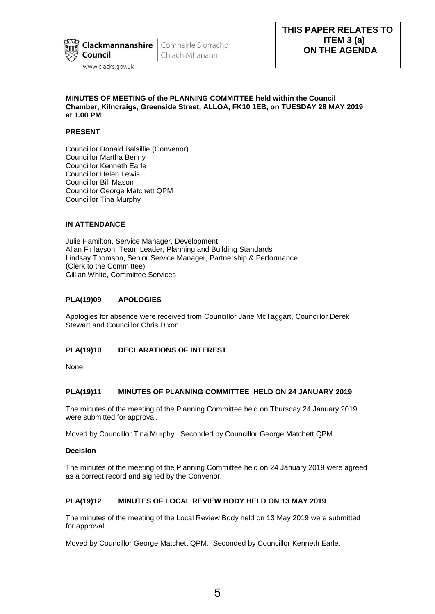

Chlach Mhanann

### **MINUTES OF MEETING of the PLANNING COMMITTEE held within the Council Chamber, Kilncraigs, Greenside Street, ALLOA, FK10 1EB, on TUESDAY 28 MAY 2019 at 1.00 PM**

## **PRESENT**

Councillor Donald Balsillie (Convenor) Councillor Martha Benny Councillor Kenneth Earle Councillor Helen Lewis Councillor Bill Mason Councillor George Matchett QPM Councillor Tina Murphy

## **IN ATTENDANCE**

Julie Hamilton, Service Manager, Development Allan Finlayson, Team Leader, Planning and Building Standards Lindsay Thomson, Senior Service Manager, Partnership & Performance (Clerk to the Committee) Gillian White, Committee Services

# **PLA(19)09 APOLOGIES**

Apologies for absence were received from Councillor Jane McTaggart, Councillor Derek Stewart and Councillor Chris Dixon.

## **PLA(19)10 DECLARATIONS OF INTEREST**

None.

## **PLA(19)11 MINUTES OF PLANNING COMMITTEE HELD ON 24 JANUARY 2019**

The minutes of the meeting of the Planning Committee held on Thursday 24 January 2019 were submitted for approval.

Moved by Councillor Tina Murphy. Seconded by Councillor George Matchett QPM.

### **Decision**

The minutes of the meeting of the Planning Committee held on 24 January 2019 were agreed as a correct record and signed by the Convenor.

## **PLA(19)12 MINUTES OF LOCAL REVIEW BODY HELD ON 13 MAY 2019**

The minutes of the meeting of the Local Review Body held on 13 May 2019 were submitted for approval.

Moved by Councillor George Matchett QPM. Seconded by Councillor Kenneth Earle.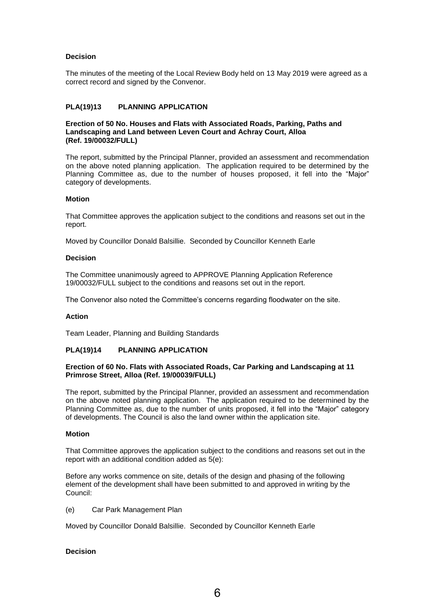## **Decision**

The minutes of the meeting of the Local Review Body held on 13 May 2019 were agreed as a correct record and signed by the Convenor.

# **PLA(19)13 PLANNING APPLICATION**

#### **Erection of 50 No. Houses and Flats with Associated Roads, Parking, Paths and Landscaping and Land between Leven Court and Achray Court, Alloa (Ref. 19/00032/FULL)**

The report, submitted by the Principal Planner, provided an assessment and recommendation on the above noted planning application. The application required to be determined by the Planning Committee as, due to the number of houses proposed, it fell into the "Major" category of developments.

#### **Motion**

That Committee approves the application subject to the conditions and reasons set out in the report.

Moved by Councillor Donald Balsillie. Seconded by Councillor Kenneth Earle

#### **Decision**

The Committee unanimously agreed to APPROVE Planning Application Reference 19/00032/FULL subject to the conditions and reasons set out in the report.

The Convenor also noted the Committee's concerns regarding floodwater on the site.

#### **Action**

Team Leader, Planning and Building Standards

## **PLA(19)14 PLANNING APPLICATION**

### **Erection of 60 No. Flats with Associated Roads, Car Parking and Landscaping at 11 Primrose Street, Alloa (Ref. 19/00039/FULL)**

The report, submitted by the Principal Planner, provided an assessment and recommendation on the above noted planning application. The application required to be determined by the Planning Committee as, due to the number of units proposed, it fell into the "Major" category of developments. The Council is also the land owner within the application site.

#### **Motion**

That Committee approves the application subject to the conditions and reasons set out in the report with an additional condition added as 5(e):

Before any works commence on site, details of the design and phasing of the following element of the development shall have been submitted to and approved in writing by the Council:

#### (e) Car Park Management Plan

Moved by Councillor Donald Balsillie. Seconded by Councillor Kenneth Earle

## **Decision**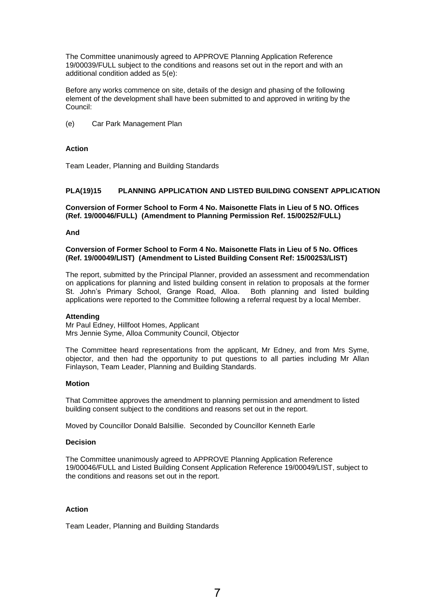The Committee unanimously agreed to APPROVE Planning Application Reference 19/00039/FULL subject to the conditions and reasons set out in the report and with an additional condition added as 5(e):

Before any works commence on site, details of the design and phasing of the following element of the development shall have been submitted to and approved in writing by the Council:

(e) Car Park Management Plan

### **Action**

Team Leader, Planning and Building Standards

## **PLA(19)15 PLANNING APPLICATION AND LISTED BUILDING CONSENT APPLICATION**

**Conversion of Former School to Form 4 No. Maisonette Flats in Lieu of 5 NO. Offices (Ref. 19/00046/FULL) (Amendment to Planning Permission Ref. 15/00252/FULL)** 

#### **And**

**Conversion of Former School to Form 4 No. Maisonette Flats in Lieu of 5 No. Offices (Ref. 19/00049/LIST) (Amendment to Listed Building Consent Ref: 15/00253/LIST)** 

The report, submitted by the Principal Planner, provided an assessment and recommendation on applications for planning and listed building consent in relation to proposals at the former St. John's Primary School, Grange Road, Alloa. Both planning and listed building applications were reported to the Committee following a referral request by a local Member.

#### **Attending**

Mr Paul Edney, Hillfoot Homes, Applicant Mrs Jennie Syme, Alloa Community Council, Objector

The Committee heard representations from the applicant, Mr Edney, and from Mrs Syme, objector, and then had the opportunity to put questions to all parties including Mr Allan Finlayson, Team Leader, Planning and Building Standards.

#### **Motion**

That Committee approves the amendment to planning permission and amendment to listed building consent subject to the conditions and reasons set out in the report.

Moved by Councillor Donald Balsillie. Seconded by Councillor Kenneth Earle

### **Decision**

The Committee unanimously agreed to APPROVE Planning Application Reference 19/00046/FULL and Listed Building Consent Application Reference 19/00049/LIST, subject to the conditions and reasons set out in the report.

#### **Action**

Team Leader, Planning and Building Standards